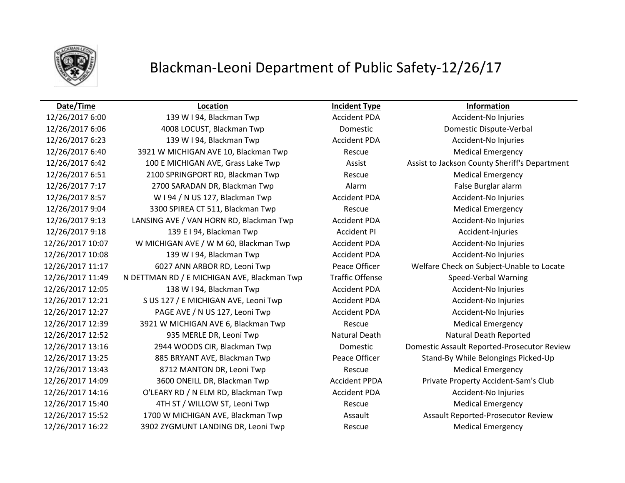

# Blackman-Leoni Department of Public Safety-12/26/17

## **Date/Time Location Incident Type Information**

12/26/2017 6:00 139 W I 94, Blackman Twp Accident PDA Accident-No Injuries 12/26/2017 6:06 4008 LOCUST, Blackman Twp Domestic Domestic Dispute-Verbal 12/26/2017 6:23 139 W I 94, Blackman Twp Accident PDA Accident-No Injuries 12/26/2017 6:40 3921 W MICHIGAN AVE 10, Blackman Twp Rescue Medical Emergency 12/26/2017 6:42 100 E MICHIGAN AVE, Grass Lake Twp **Assist Assist Assist Lackson County Sheriff's Department** 12/26/2017 6:51 2100 SPRINGPORT RD, Blackman Twp Rescue Medical Emergency 12/26/2017 7:17 2700 SARADAN DR, Blackman Twp Alarm Alarm False Burglar alarm 12/26/2017 8:57 WI 94 / N US 127, Blackman Twp Accident PDA Accident-No Injuries 12/26/2017 9:04 3300 SPIREA CT 511, Blackman Twp Rescue Medical Emergency 12/26/2017 9:13 LANSING AVE / VAN HORN RD, Blackman Twp Accident PDA Accident-No Injuries 12/26/2017 9:18 139 E I 94, Blackman Twp Accident PI Accident-Injuries 12/26/2017 10:07 W MICHIGAN AVE / W M 60, Blackman Twp Accident PDA Accident-No Injuries 12/26/2017 10:08 139 W I 94, Blackman Twp Accident PDA Accident PDA Accident-No Injuries 12/26/2017 11:17 6027 ANN ARBOR RD, Leoni Twp Peace Officer Welfare Check on Subject-Unable to Locate 12/26/2017 11:49 N DETTMAN RD / E MICHIGAN AVE, Blackman Twp Traffic Offense Speed-Verbal Warning 12/26/2017 12:05 138 W I 94, Blackman Twp Accident PDA Accident-No Injuries 12/26/2017 12:21 S US 127 / E MICHIGAN AVE, Leoni Twp Accident PDA Accident-No Injuries 12/26/2017 12:27 PAGE AVE / N US 127, Leoni Twp Accident PDA Accident-No Injuries 12/26/2017 12:39 3921 W MICHIGAN AVE 6, Blackman Twp Rescue Medical Emergency 12/26/2017 12:52 **935 MERLE DR, Leoni Twp Natural Death Natural Death Natural Death Reported** 12/26/2017 13:16 2944 WOODS CIR, Blackman Twp Domestic Domestic Assault Reported-Prosecutor Review 12/26/2017 13:25 885 BRYANT AVE, Blackman Twp Peace Officer Stand-By While Belongings Picked-Up 12/26/2017 13:43 8712 MANTON DR, Leoni Twp Rescue Medical Emergency 12/26/2017 14:09 3600 ONEILL DR, Blackman Twp Accident PPDA Private Property Accident-Sam's Club 12/26/2017 14:16 O'LEARY RD / N ELM RD, Blackman Twp Accident PDA Accident-No Injuries 12/26/2017 15:40 **4TH ST / WILLOW ST, Leoni Twp** Rescue Rescue Medical Emergency 12/26/2017 15:52 1700 W MICHIGAN AVE, Blackman Twp Assault Assault Reported-Prosecutor Review 12/26/2017 16:22 3902 ZYGMUNT LANDING DR, Leoni Twp Rescue Medical Emergency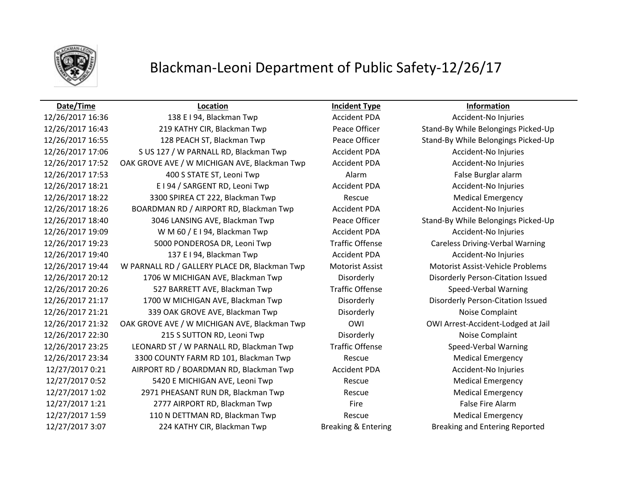

# Blackman-Leoni Department of Public Safety-12/26/17

12/26/2017 16:36 138 E I 94, Blackman Twp Accident PDA Accident-No Injuries 12/26/2017 16:43 219 KATHY CIR, Blackman Twp Peace Officer Stand-By While Belongings Picked-Up 12/26/2017 16:55 128 PEACH ST, Blackman Twp Peace Officer Stand-By While Belongings Picked-Up 12/26/2017 17:06 S US 127 / W PARNALL RD, Blackman Twp **Accident PDA** Accident-No Injuries 12/26/2017 17:52 OAK GROVE AVE / W MICHIGAN AVE, Blackman Twp Accident PDA Accident-No Injuries 12/26/2017 17:53 400 S STATE ST, Leoni Twp Alarm Alarm Alarm False Burglar alarm 12/26/2017 18:21 E I 94 / SARGENT RD, Leoni Twp Accident PDA Accident-No Injuries 12/26/2017 18:22 3300 SPIREA CT 222, Blackman Twp Rescue Medical Emergency 12/26/2017 18:26 BOARDMAN RD / AIRPORT RD, Blackman Twp Accident PDA Accident-No Injuries 12/26/2017 18:40 3046 LANSING AVE, Blackman Twp Peace Officer Stand-By While Belongings Picked-Up 12/26/2017 19:09 W M 60 / E I 94, Blackman Twp **Accident PDA** Accident-No Injuries 12/26/2017 19:23 5000 PONDEROSA DR, Leoni Twp Traffic Offense Careless Driving-Verbal Warning 12/26/2017 19:40 137 E I 94, Blackman Twp Accident PDA Accident PDA Accident-No Injuries 12/26/2017 19:44 W PARNALL RD / GALLERY PLACE DR, Blackman Twp Motorist Assist Motorist Assist-Vehicle Problems 12/26/2017 20:12 1706 W MICHIGAN AVE, Blackman Twp Disorderly Disorderly Person-Citation Issued 12/26/2017 20:26 527 BARRETT AVE, Blackman Twp Traffic Offense Speed-Verbal Warning 12/26/2017 21:17 1700 W MICHIGAN AVE, Blackman Twp Disorderly Disorderly Person-Citation Issued 12/26/2017 21:21 339 OAK GROVE AVE, Blackman Twp Disorderly Disorderly Noise Complaint 12/26/2017 21:32 OAK GROVE AVE / W MICHIGAN AVE, Blackman Twp OWI OWI Arrest-Accident-Lodged at Jail 12/26/2017 22:30 215 S SUTTON RD, Leoni Twp Disorderly Disorderly Noise Complaint 12/26/2017 23:25 LEONARD ST / W PARNALL RD, Blackman Twp Traffic Offense Speed-Verbal Warning 12/26/2017 23:34 3300 COUNTY FARM RD 101, Blackman Twp Rescue Medical Emergency 12/27/2017 0:21 AIRPORT RD / BOARDMAN RD, Blackman Twp Accident PDA Accident-No Injuries 12/27/2017 0:52 5420 E MICHIGAN AVE, Leoni Twp Rescue Rescue Medical Emergency 12/27/2017 1:02 2971 PHEASANT RUN DR, Blackman Twp Rescue Medical Emergency 12/27/2017 1:21 2777 AIRPORT RD, Blackman Twp Fire Fire Fire False Fire Alarm 12/27/2017 1:59 110 N DETTMAN RD, Blackman Twp Rescue Medical Emergency 12/27/2017 3:07 224 KATHY CIR, Blackman Twp Breaking & Entering Breaking and Entering Reported

## **Date/Time Location Incident Type Information**